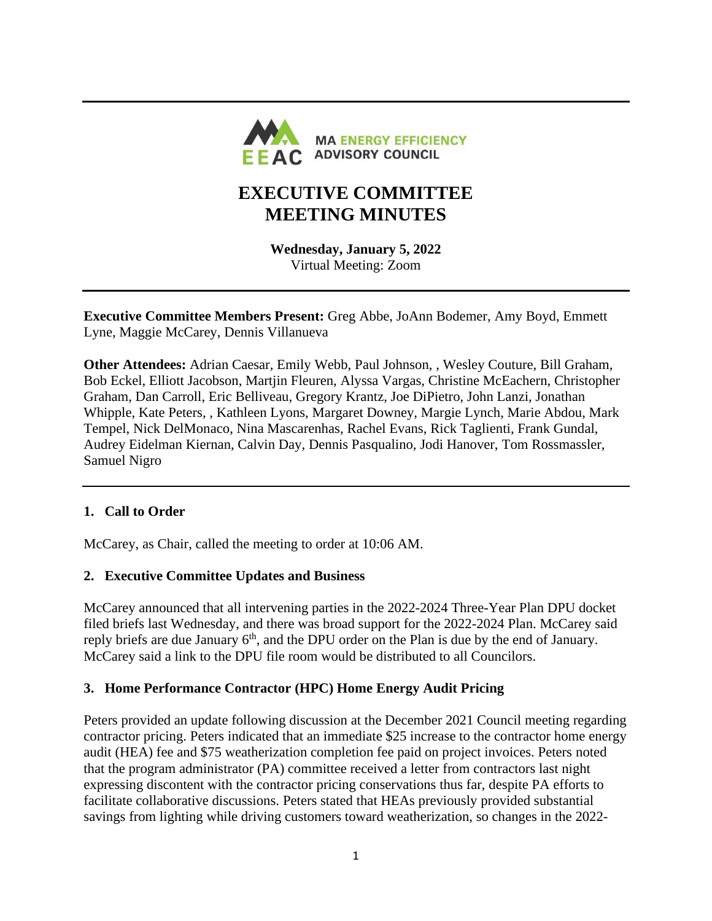

# **EXECUTIVE COMMITTEE MEETING MINUTES**

**Wednesday, January 5, 2022** Virtual Meeting: Zoom

**Executive Committee Members Present:** Greg Abbe, JoAnn Bodemer, Amy Boyd, Emmett Lyne, Maggie McCarey, Dennis Villanueva

**Other Attendees:** Adrian Caesar, Emily Webb, Paul Johnson, , Wesley Couture, Bill Graham, Bob Eckel, Elliott Jacobson, Martjin Fleuren, Alyssa Vargas, Christine McEachern, Christopher Graham, Dan Carroll, Eric Belliveau, Gregory Krantz, Joe DiPietro, John Lanzi, Jonathan Whipple, Kate Peters, , Kathleen Lyons, Margaret Downey, Margie Lynch, Marie Abdou, Mark Tempel, Nick DelMonaco, Nina Mascarenhas, Rachel Evans, Rick Taglienti, Frank Gundal, Audrey Eidelman Kiernan, Calvin Day, Dennis Pasqualino, Jodi Hanover, Tom Rossmassler, Samuel Nigro

## **1. Call to Order**

McCarey, as Chair, called the meeting to order at 10:06 AM.

## **2. Executive Committee Updates and Business**

McCarey announced that all intervening parties in the 2022-2024 Three-Year Plan DPU docket filed briefs last Wednesday, and there was broad support for the 2022-2024 Plan. McCarey said reply briefs are due January  $6<sup>th</sup>$ , and the DPU order on the Plan is due by the end of January. McCarey said a link to the DPU file room would be distributed to all Councilors.

## **3. Home Performance Contractor (HPC) Home Energy Audit Pricing**

Peters provided an update following discussion at the December 2021 Council meeting regarding contractor pricing. Peters indicated that an immediate \$25 increase to the contractor home energy audit (HEA) fee and \$75 weatherization completion fee paid on project invoices. Peters noted that the program administrator (PA) committee received a letter from contractors last night expressing discontent with the contractor pricing conservations thus far, despite PA efforts to facilitate collaborative discussions. Peters stated that HEAs previously provided substantial savings from lighting while driving customers toward weatherization, so changes in the 2022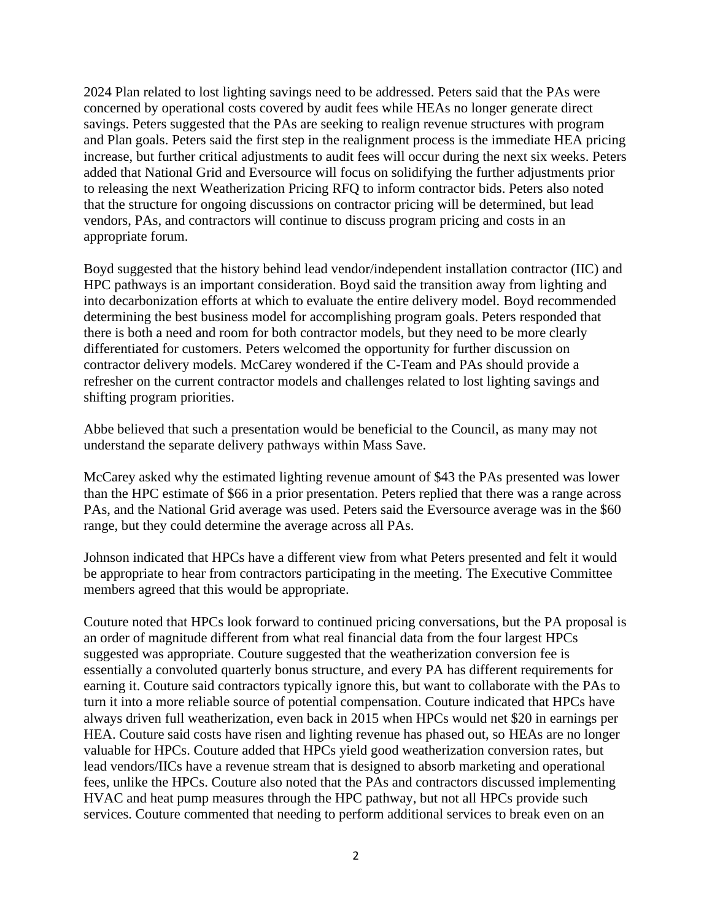2024 Plan related to lost lighting savings need to be addressed. Peters said that the PAs were concerned by operational costs covered by audit fees while HEAs no longer generate direct savings. Peters suggested that the PAs are seeking to realign revenue structures with program and Plan goals. Peters said the first step in the realignment process is the immediate HEA pricing increase, but further critical adjustments to audit fees will occur during the next six weeks. Peters added that National Grid and Eversource will focus on solidifying the further adjustments prior to releasing the next Weatherization Pricing RFQ to inform contractor bids. Peters also noted that the structure for ongoing discussions on contractor pricing will be determined, but lead vendors, PAs, and contractors will continue to discuss program pricing and costs in an appropriate forum.

Boyd suggested that the history behind lead vendor/independent installation contractor (IIC) and HPC pathways is an important consideration. Boyd said the transition away from lighting and into decarbonization efforts at which to evaluate the entire delivery model. Boyd recommended determining the best business model for accomplishing program goals. Peters responded that there is both a need and room for both contractor models, but they need to be more clearly differentiated for customers. Peters welcomed the opportunity for further discussion on contractor delivery models. McCarey wondered if the C-Team and PAs should provide a refresher on the current contractor models and challenges related to lost lighting savings and shifting program priorities.

Abbe believed that such a presentation would be beneficial to the Council, as many may not understand the separate delivery pathways within Mass Save.

McCarey asked why the estimated lighting revenue amount of \$43 the PAs presented was lower than the HPC estimate of \$66 in a prior presentation. Peters replied that there was a range across PAs, and the National Grid average was used. Peters said the Eversource average was in the \$60 range, but they could determine the average across all PAs.

Johnson indicated that HPCs have a different view from what Peters presented and felt it would be appropriate to hear from contractors participating in the meeting. The Executive Committee members agreed that this would be appropriate.

Couture noted that HPCs look forward to continued pricing conversations, but the PA proposal is an order of magnitude different from what real financial data from the four largest HPCs suggested was appropriate. Couture suggested that the weatherization conversion fee is essentially a convoluted quarterly bonus structure, and every PA has different requirements for earning it. Couture said contractors typically ignore this, but want to collaborate with the PAs to turn it into a more reliable source of potential compensation. Couture indicated that HPCs have always driven full weatherization, even back in 2015 when HPCs would net \$20 in earnings per HEA. Couture said costs have risen and lighting revenue has phased out, so HEAs are no longer valuable for HPCs. Couture added that HPCs yield good weatherization conversion rates, but lead vendors/IICs have a revenue stream that is designed to absorb marketing and operational fees, unlike the HPCs. Couture also noted that the PAs and contractors discussed implementing HVAC and heat pump measures through the HPC pathway, but not all HPCs provide such services. Couture commented that needing to perform additional services to break even on an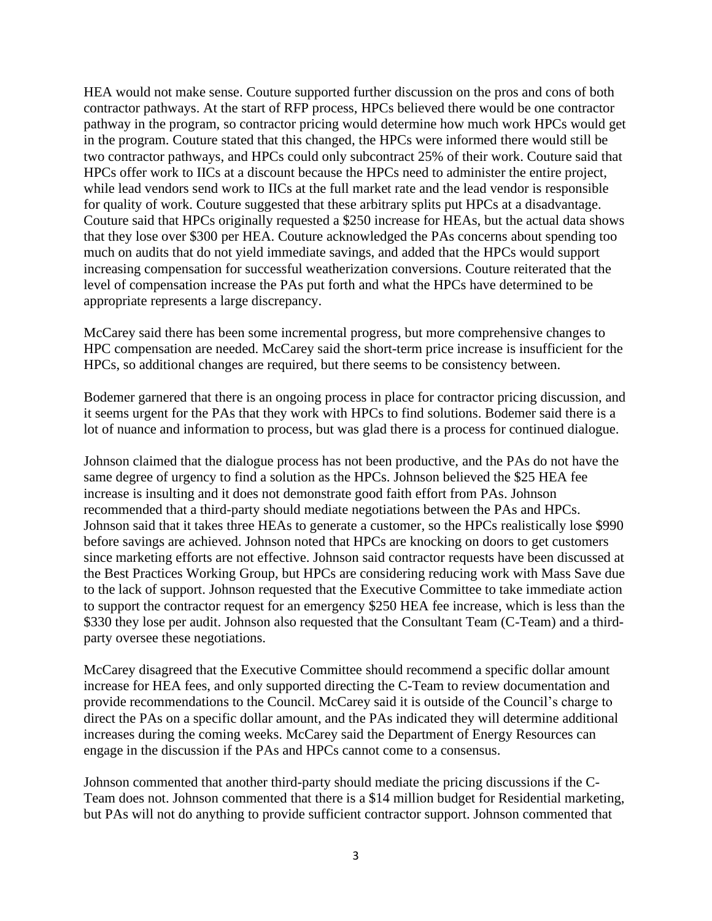HEA would not make sense. Couture supported further discussion on the pros and cons of both contractor pathways. At the start of RFP process, HPCs believed there would be one contractor pathway in the program, so contractor pricing would determine how much work HPCs would get in the program. Couture stated that this changed, the HPCs were informed there would still be two contractor pathways, and HPCs could only subcontract 25% of their work. Couture said that HPCs offer work to IICs at a discount because the HPCs need to administer the entire project, while lead vendors send work to IICs at the full market rate and the lead vendor is responsible for quality of work. Couture suggested that these arbitrary splits put HPCs at a disadvantage. Couture said that HPCs originally requested a \$250 increase for HEAs, but the actual data shows that they lose over \$300 per HEA. Couture acknowledged the PAs concerns about spending too much on audits that do not yield immediate savings, and added that the HPCs would support increasing compensation for successful weatherization conversions. Couture reiterated that the level of compensation increase the PAs put forth and what the HPCs have determined to be appropriate represents a large discrepancy.

McCarey said there has been some incremental progress, but more comprehensive changes to HPC compensation are needed. McCarey said the short-term price increase is insufficient for the HPCs, so additional changes are required, but there seems to be consistency between.

Bodemer garnered that there is an ongoing process in place for contractor pricing discussion, and it seems urgent for the PAs that they work with HPCs to find solutions. Bodemer said there is a lot of nuance and information to process, but was glad there is a process for continued dialogue.

Johnson claimed that the dialogue process has not been productive, and the PAs do not have the same degree of urgency to find a solution as the HPCs. Johnson believed the \$25 HEA fee increase is insulting and it does not demonstrate good faith effort from PAs. Johnson recommended that a third-party should mediate negotiations between the PAs and HPCs. Johnson said that it takes three HEAs to generate a customer, so the HPCs realistically lose \$990 before savings are achieved. Johnson noted that HPCs are knocking on doors to get customers since marketing efforts are not effective. Johnson said contractor requests have been discussed at the Best Practices Working Group, but HPCs are considering reducing work with Mass Save due to the lack of support. Johnson requested that the Executive Committee to take immediate action to support the contractor request for an emergency \$250 HEA fee increase, which is less than the \$330 they lose per audit. Johnson also requested that the Consultant Team (C-Team) and a thirdparty oversee these negotiations.

McCarey disagreed that the Executive Committee should recommend a specific dollar amount increase for HEA fees, and only supported directing the C-Team to review documentation and provide recommendations to the Council. McCarey said it is outside of the Council's charge to direct the PAs on a specific dollar amount, and the PAs indicated they will determine additional increases during the coming weeks. McCarey said the Department of Energy Resources can engage in the discussion if the PAs and HPCs cannot come to a consensus.

Johnson commented that another third-party should mediate the pricing discussions if the C-Team does not. Johnson commented that there is a \$14 million budget for Residential marketing, but PAs will not do anything to provide sufficient contractor support. Johnson commented that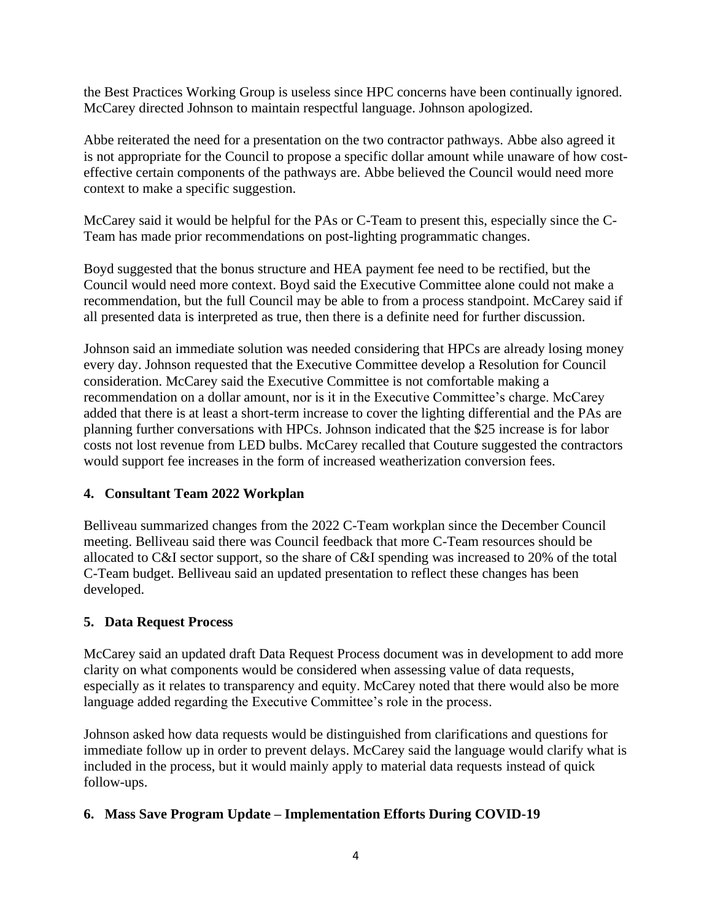the Best Practices Working Group is useless since HPC concerns have been continually ignored. McCarey directed Johnson to maintain respectful language. Johnson apologized.

Abbe reiterated the need for a presentation on the two contractor pathways. Abbe also agreed it is not appropriate for the Council to propose a specific dollar amount while unaware of how costeffective certain components of the pathways are. Abbe believed the Council would need more context to make a specific suggestion.

McCarey said it would be helpful for the PAs or C-Team to present this, especially since the C-Team has made prior recommendations on post-lighting programmatic changes.

Boyd suggested that the bonus structure and HEA payment fee need to be rectified, but the Council would need more context. Boyd said the Executive Committee alone could not make a recommendation, but the full Council may be able to from a process standpoint. McCarey said if all presented data is interpreted as true, then there is a definite need for further discussion.

Johnson said an immediate solution was needed considering that HPCs are already losing money every day. Johnson requested that the Executive Committee develop a Resolution for Council consideration. McCarey said the Executive Committee is not comfortable making a recommendation on a dollar amount, nor is it in the Executive Committee's charge. McCarey added that there is at least a short-term increase to cover the lighting differential and the PAs are planning further conversations with HPCs. Johnson indicated that the \$25 increase is for labor costs not lost revenue from LED bulbs. McCarey recalled that Couture suggested the contractors would support fee increases in the form of increased weatherization conversion fees.

## **4. Consultant Team 2022 Workplan**

Belliveau summarized changes from the 2022 C-Team workplan since the December Council meeting. Belliveau said there was Council feedback that more C-Team resources should be allocated to C&I sector support, so the share of C&I spending was increased to 20% of the total C-Team budget. Belliveau said an updated presentation to reflect these changes has been developed.

## **5. Data Request Process**

McCarey said an updated draft Data Request Process document was in development to add more clarity on what components would be considered when assessing value of data requests, especially as it relates to transparency and equity. McCarey noted that there would also be more language added regarding the Executive Committee's role in the process.

Johnson asked how data requests would be distinguished from clarifications and questions for immediate follow up in order to prevent delays. McCarey said the language would clarify what is included in the process, but it would mainly apply to material data requests instead of quick follow-ups.

## **6. Mass Save Program Update – Implementation Efforts During COVID-19**